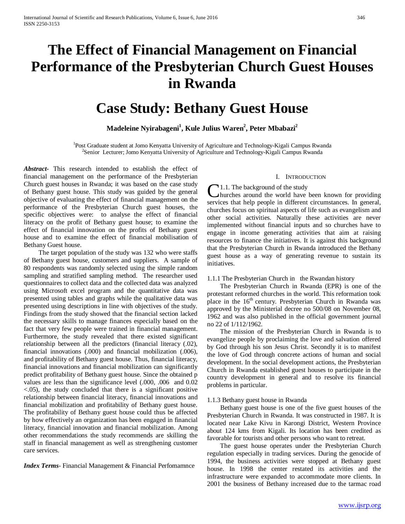# **The Effect of Financial Management on Financial Performance of the Presbyterian Church Guest Houses in Rwanda**

## **Case Study: Bethany Guest House**

## $\mathbf{M}$ adeleine Nyirabageni $^1$ , Kule Julius Waren $^2$ , Peter Mbabazi $^2$

<sup>1</sup>Post Graduate student at Jomo Kenyatta University of Agriculture and Technology-Kigali Campus Rwanda <sup>2</sup>Sonier Legturer: Jome Kenyatta University of Agriculture and Technology-Kigali Campus Rwanda <sup>2</sup>Senior Lecturer; Jomo Kenyatta University of Agriculture and Technology-Kigali Campus Rwanda

*Abstract***-** This research intended to establish the effect of financial management on the performance of the Presbyterian Church guest houses in Rwanda; it was based on the case study of Bethany guest house. This study was guided by the general objective of evaluating the effect of financial management on the performance of the Presbyterian Church guest houses, the specific objectives were: to analyse the effect of financial literacy on the profit of Bethany guest house; to examine the effect of financial innovation on the profits of Bethany guest house and to examine the effect of financial mobilisation of Bethany Guest house.

 The target population of the study was 132 who were staffs of Bethany guest house, customers and suppliers. A sample of 80 respondents was randomly selected using the simple random sampling and stratified sampling method. The researcher used questionnaires to collect data and the collected data was analyzed using Microsoft excel program and the quantitative data was presented using tables and graphs while the qualitative data was presented using descriptions in line with objectives of the study. Findings from the study showed that the financial section lacked the necessary skills to manage finances especially based on the fact that very few people were trained in financial management. Furthermore, the study revealed that there existed significant relationship between all the predictors (financial literacy (.02), financial innovations (.000) and financial mobilization (.006), and profitability of Bethany guest house. Thus, financial literacy, financial innovations and financial mobilization can significantly predict profitability of Bethany guest house. Since the obtained p values are less than the significance level (.000, .006 and 0.02 <.05), the study concluded that there is a significant positive relationship between financial literacy, financial innovations and financial mobilization and profitability of Bethany guest house. The profitability of Bethany guest house could thus be affected by how effectively an organization has been engaged in financial literacy, financial innovation and financial mobilization. Among other recommendations the study recommends are skilling the staff in financial management as well as strengthening customer care services.

*Index Terms*- Financial Management & Financial Perfomamnce

#### I. INTRODUCTION

 $\mathbf{1.1}$ . The background of the study hurches around the world have been known for providing **C**1.1. The background of the study<br>hurches around the world have been known for providing<br>services that help people in different circumstances. In general, churches focus on spiritual aspects of life such as evangelism and other social activities. Naturally these activities are never implemented without financial inputs and so churches have to engage in income generating activities that aim at raising resources to finance the initiatives. It is against this background that the Presbyterian Church in Rwanda introduced the Bethany guest house as a way of generating revenue to sustain its initiatives.

#### 1.1.1 The Presbyterian Church in the Rwandan history

 The Presbyterian Church in Rwanda (EPR) is one of the protestant reformed churches in the world. This reformation took place in the  $16<sup>th</sup>$  century. Presbyterian Church in Rwanda was approved by the Ministerial decree no 500/08 on November 08, 1962 and was also published in the official government journal no 22 of 1/112/1962.

 The mission of the Presbyterian Church in Rwanda is to evangelize people by proclaiming the love and salvation offered by God through his son Jesus Christ. Secondly it is to manifest the love of God through concrete actions of human and social development. In the social development actions, the Presbyterian Church in Rwanda established guest houses to participate in the country development in general and to resolve its financial problems in particular.

#### 1.1.3 Bethany guest house in Rwanda

 Bethany guest house is one of the five guest houses of the Presbyterian Church in Rwanda. It was constructed in 1987. It is located near Lake Kivu in Karongi District, Western Province about 124 kms from Kigali. Its location has been credited as favorable for tourists and other persons who want to retreat.

 The guest house operates under the Presbyterian Church regulation especially in trading services. During the genocide of 1994, the business activities were stopped at Bethany guest house. In 1998 the center restated its activities and the infrastructure were expanded to accommodate more clients. In 2001 the business of Bethany increased due to the tarmac road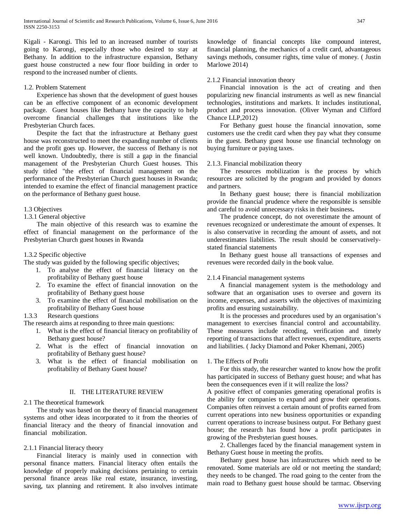Kigali - Karongi. This led to an increased number of tourists going to Karongi, especially those who desired to stay at Bethany. In addition to the infrastructure expansion, Bethany guest house constructed a new four floor building in order to respond to the increased number of clients.

## 1.2. Problem Statement

 Experience has shown that the development of guest houses can be an effective component of an economic development package. Guest houses like Bethany have the capacity to help overcome financial challenges that institutions like the Presbyterian Church faces.

 Despite the fact that the infrastructure at Bethany guest house was reconstructed to meet the expanding number of clients and the profit goes up. However, the success of Bethany is not well known. Undoubtedly, there is still a gap in the financial management of the Presbyterian Church Guest houses. This study titled "the effect of financial management on the performance of the Presbyterian Church guest houses in Rwanda; intended to examine the effect of financial management practice on the performance of Bethany guest house.

## 1.3 Objectives

1.3.1 General objective

 The main objective of this research was to examine the effect of financial management on the performance of the Presbyterian Church guest houses in Rwanda

## 1.3.2 Specific objective

The study was guided by the following specific objectives;

- 1. To analyse the effect of financial literacy on the profitability of Bethany guest house
- 2. To examine the effect of financial innovation on the profitability of Bethany guest house
- 3. To examine the effect of financial mobilisation on the profitability of Bethany Guest house

## 1.3.3 Research questions

The research aims at responding to three main questions:

- 1. What is the effect of financial literacy on profitability of Bethany guest house?
- 2. What is the effect of financial innovation on profitability of Bethany guest house?
- 3. What is the effect of financial mobilisation on profitability of Bethany Guest house?

## II. THE LITERATURE REVIEW

#### 2.1 The theoretical framework

 The study was based on the theory of financial management systems and other ideas incorporated to it from the theories of financial literacy and the theory of financial innovation and financial mobilization.

## 2.1.1 Financial literacy theory

 Financial literacy is mainly used in connection with personal finance matters. Financial literacy often entails the knowledge of properly making decisions pertaining to certain personal finance areas like real estate, insurance, investing, saving, tax planning and retirement. It also involves intimate knowledge of financial concepts like compound interest, financial planning, the mechanics of a credit card, advantageous savings methods, consumer rights, time value of money. ( Justin Marlowe 2014)

## 2.1.2 Financial innovation theory

 Financial innovation is the act of creating and then popularizing new financial instruments as well as new financial technologies, institutions and markets. It includes institutional, product and process innovation. (Oliver Wyman and Clifford Chance LLP,2012)

 For Bethany guest house the financial innovation, some customers use the credit card when they pay what they consume in the guest. Bethany guest house use financial technology on buying furniture or paying taxes.

## 2.1.3. Financial mobilization theory

 The resources mobilization is the process by which resources are solicited by the program and provided by donors and partners.

 In Bethany guest house; there is financial mobilization provide the financial prudence where the responsible is sensible and careful to avoid unnecessary risks in their business**.**

 The prudence concept, do not overestimate the amount of revenues recognized or underestimate the amount of expenses. It is also conservative in recording the amount of assets, and not underestimates liabilities. The result should be conservativelystated financial statements

 In Bethany guest house all transactions of expenses and revenues were recorded daily in the book value.

#### 2.1.4 Financial management systems

 A financial management system is the methodology and software that an organisation uses to oversee and govern its income, expenses, and asserts with the objectives of maximizing profits and ensuring sustainability.

 It is the processes and procedures used by an organisation's management to exercises financial control and accountability. These measures include recoding, verification and timely reporting of transactions that affect revenues, expenditure, asserts and liabilities. ( Jacky Diamond and Poker Khemani, 2005)

#### 1. The Effects of Profit

 For this study, the researcher wanted to know how the profit has participated in success of Bethany guest house; and what has been the consequences even if it will realize the loss?

A positive effect of companies generating operational profits is the ability for companies to expand and grow their operations. Companies often reinvest a certain amount of profits earned from current operations into new business opportunities or expanding current operations to increase business output. For Bethany guest house; the research has found how a profit participates in growing of the Presbyterian guest houses.

 2. Challenges faced by the financial management system in Bethany Guest house in meeting the profits.

 Bethany guest house has infrastructures which need to be renovated. Some materials are old or not meeting the standard; they needs to be changed. The road going to the center from the main road to Bethany guest house should be tarmac. Observing

[www.ijsrp.org](http://ijsrp.org/)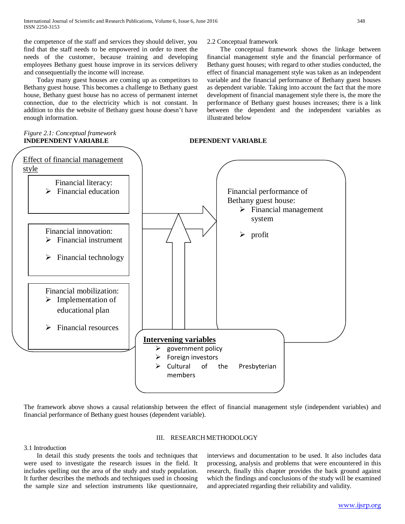the competence of the staff and services they should deliver, you find that the staff needs to be empowered in order to meet the needs of the customer, because training and developing employees Bethany guest house improve in its services delivery and consequentially the income will increase.

 Today many guest houses are coming up as competitors to Bethany guest house. This becomes a challenge to Bethany guest house, Bethany guest house has no access of permanent internet connection, due to the electricity which is not constant. In addition to this the website of Bethany guest house doesn't have enough information.

#### *Figure 2.1: Conceptual framework* **INDEPENDENT VARIABLE DEPENDENT VARIABLE**

## 2.2 Conceptual framework

 The conceptual framework shows the linkage between financial management style and the financial performance of Bethany guest houses; with regard to other studies conducted, the effect of financial management style was taken as an independent variable and the financial performance of Bethany guest houses as dependent variable. Taking into account the fact that the more development of financial management style there is, the more the performance of Bethany guest houses increases; there is a link between the dependent and the independent variables as illustrated below



The framework above shows a causal relationship between the effect of financial management style (independent variables) and financial performance of Bethany guest houses (dependent variable).

#### III. RESEARCH METHODOLOGY

## 3.1 Introduction

 In detail this study presents the tools and techniques that were used to investigate the research issues in the field. It includes spelling out the area of the study and study population. It further describes the methods and techniques used in choosing the sample size and selection instruments like questionnaire, interviews and documentation to be used. It also includes data processing, analysis and problems that were encountered in this research, finally this chapter provides the back ground against which the findings and conclusions of the study will be examined and appreciated regarding their reliability and validity.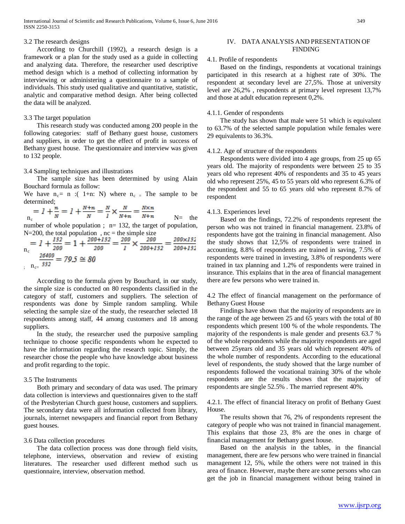#### 3.2 The research designs

 According to Churchill (1992), a research design is a framework or a plan for the study used as a guide in collecting and analyzing data. Therefore, the researcher used descriptive method design which is a method of collecting information by interviewing or administering a questionnaire to a sample of individuals. This study used qualitative and quantitative, statistic, analytic and comparative method design. After being collected the data will be analyzed.

#### 3.3 The target population

 This research study was conducted among 200 people in the following categories: staff of Bethany guest house, customers and suppliers, in order to get the effect of profit in success of Bethany guest house. The questionnaire and interview was given to 132 people.

#### 3.4 Sampling techniques and illustrations

 The sample size has been determined by using Alain Bouchard formula as follow:

We have  $n_c$  = n :( 1+n: N) where  $n_c$  = The sample to be determined;

$$
_{n_{c}} = 1 + \frac{n}{N} = 1 + \frac{N+n}{N} = \frac{N}{I} \times \frac{N}{N+n} = \frac{N \times n}{N+n}
$$

 $N=$  the number of whole population ;  $n= 132$ , the target of population,  $N=200$ , the total population,  $nc = the simple size$ 

$$
n_c = 1 + \frac{132}{200} = 1 + \frac{200 + 132}{200} = \frac{200}{1} \times \frac{200}{200 + 132} = \frac{200 \times 132}{200 + 132}
$$
  
=  $\frac{26400}{332} = 79.5 \approx 80$ 

 According to the formula given by Bouchard, in our study, the simple size is conducted on 80 respondents classified in the category of staff, customers and suppliers. The selection of respondents was done by Simple random sampling. While selecting the sample size of the study, the researcher selected 18 respondents among staff, 44 among customers and 18 among suppliers.

 In the study, the researcher used the purposive sampling technique to choose specific respondents whom he expected to have the information regarding the research topic. Simply, the researcher chose the people who have knowledge about business and profit regarding to the topic.

#### 3.5 The Instruments

 Both primary and secondary of data was used. The primary data collection is interviews and questionnaires given to the staff of the Presbyterian Church guest house, customers and suppliers. The secondary data were all information collected from library, journals, internet newspapers and financial report from Bethany guest houses.

#### 3.6 Data collection procedures

 The data collection process was done through field visits, telephone, interviews, observation and review of existing literatures. The researcher used different method such us questionnaire, interview, observation method.

## IV. DATA ANALYSIS AND PRESENTATION OF FINDING

## 4.1. Profile of respondents

 Based on the findings, respondents at vocational trainings participated in this research at a highest rate of 30%. The respondent at secondary level are 27,5%. Those at university level are 26,2% , respondents at primary level represent 13,7% and those at adult education represent 0,2%.

#### 4.1.1. Gender of respondents

 The study has shown that male were 51 which is equivalent to 63.7% of the selected sample population while females were 29 equivalents to 36.3%.

#### 4.1.2. Age of structure of the respondents

 Respondents were divided into 4 age groups, from 25 up 65 years old. The majority of respondents were between 25 to 35 years old who represent 40% of respondents and 35 to 45 years old who represent 25%, 45 to 55 years old who represent 6.3% of the respondent and 55 to 65 years old who represent 8.7% of respondent

#### 4.1.3. Experiences level

 Based on the findings, 72.2% of respondents represent the person who was not trained in financial management. 23.8% of respondents have got the training in financial management. Also the study shows that 12,5% of respondents were trained in accounting, 8.8% of respondents are trained in saving, 7.5% of respondents were trained in investing, 3.8% of respondents were trained in tax planning and 1.2% of respondents were trained in insurance. This explains that in the area of financial management there are few persons who were trained in.

4.2 The effect of financial management on the performance of Bethany Guest House

 Findings have shown that the majority of respondents are in the range of the age between 25 and 65 years with the total of 80 respondents which present 100 % of the whole respondents. The majority of the respondents is male gender and presents 63.7 % of the whole respondents while the majority respondents are aged between 25years old and 35 years old which represent 40% of the whole number of respondents. According to the educational level of respondents, the study showed that the large number of respondents followed the vocational training 30% of the whole respondents are the results shows that the majority of respondents are single 52.5% . The married represent 40%.

4.2.1. The effect of financial literacy on profit of Bethany Guest House.

 The results shown that 76, 2% of respondents represent the category of people who was not trained in financial management. This explains that those 23, 8% are the ones in charge of financial management for Bethany guest house.

 Based on the analysis in the tables, in the financial management, there are few persons who were trained in financial management 12, 5%, while the others were not trained in this area of finance. However, maybe there are some persons who can get the job in financial management without being trained in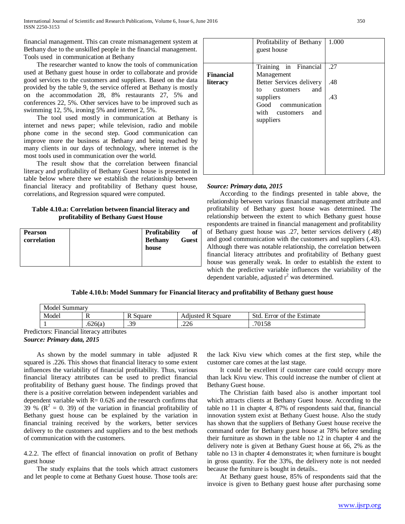financial management. This can create mismanagement system at Bethany due to the unskilled people in the financial management. Tools used in communication at Bethany

 The researcher wanted to know the tools of communication used at Bethany guest house in order to collaborate and provide good services to the customers and suppliers. Based on the data provided by the table 9, the service offered at Bethany is mostly on the accommodation 28, 8% restaurants 27, 5% and conferences 22, 5%. Other services have to be improved such as swimming 12, 5%, ironing 5% and internet 2, 5%.

 The tool used mostly in communication at Bethany is internet and news paper; while television, radio and mobile phone come in the second step. Good communication can improve more the business at Bethany and being reached by many clients in our days of technology, where internet is the most tools used in communication over the world.

 The result show that the correlation between financial literacy and profitability of Bethany Guest house is presented in table below where there we establish the relationship between financial literacy and profitability of Bethany quest house, correlations, and Regression squared were computed.

## **Table 4.10.a: Correlation between financial literacy and profitability of Bethany Guest House**

| <b>Pearson</b><br>correlation | Profitability<br>of<br><b>Bethany</b><br><b>Guest</b><br>house |
|-------------------------------|----------------------------------------------------------------|
|-------------------------------|----------------------------------------------------------------|

|                  | Profitability of Bethany<br>guest house                               | 1.000 |
|------------------|-----------------------------------------------------------------------|-------|
| <b>Financial</b> | Training in Financial<br>Management                                   | .27   |
| literacy         | Better Services delivery<br>customers<br>and<br>to                    | .48   |
|                  | suppliers<br>Good communication<br>with customers<br>and<br>suppliers | .43   |

#### *Source: Primary data, 2015*

According to the findings presented in table above, the relationship between various financial management attribute and profitability of Bethany guest house was determined. The relationship between the extent to which Bethany guest house respondents are trained in financial management and profitability of Bethany guest house was .27, better services delivery (.48) and good communication with the customers and suppliers (.43). Although there was notable relationship, the correlation between financial literacy attributes and profitability of Bethany guest house was generally weak. In order to establish the extent to which the predictive variable influences the variability of the dependent variable, adjusted  $r^2$  was determined.

## **Table 4.10.b: Model Summary for Financial literacy and profitability of Bethany guest house**

| $\sim$<br>Model<br>Summary |         |                          |                                 |                                            |  |
|----------------------------|---------|--------------------------|---------------------------------|--------------------------------------------|--|
| Model                      |         | D<br>R Square            | Adjusted<br>DC.<br>Square<br>K. | Std.<br>f the Estimate<br>Ē<br>Error<br>ΩŤ |  |
|                            | .626(a) | 30<br>$\cdot$ ) $\prime$ | .226                            | .70158                                     |  |

Predictors: Financial literacy attributes

## *Source: Primary data, 2015*

As shown by the model summary in table adjusted R squared is .226. This shows that financial literacy to some extent influences the variability of financial profitability. Thus, various financial literacy attributes can be used to predict financial profitability of Bethany guest house. The findings proved that there is a positive correlation between independent variables and dependent variable with  $R = 0.626$  and the research confirms that 39 % ( $\mathbb{R}^2 = 0$ . 39) of the variation in financial profitability of Bethany guest house can be explained by the variation in financial training received by the workers, better services delivery to the customers and suppliers and to the best methods of communication with the customers.

4.2.2. The effect of financial innovation on profit of Bethany guest house

The study explains that the tools which attract customers and let people to come at Bethany Guest house. Those tools are:

the lack Kivu view which comes at the first step, while the customer care comes at the last stage.

It could be excellent if customer care could occupy more than lack Kivu view. This could increase the number of client at Bethany Guest house.

The Christian faith based also is another important tool which attracts clients at Bethany Guest house. According to the table no 11 in chapter 4, 87% of respondents said that, financial innovation system exist at Bethany Guest house. Also the study has shown that the suppliers of Bethany Guest house receive the command order for Bethany guest house at 78% before sending their furniture as shown in the table no 12 in chapter 4 and the delivery note is given at Bethany Guest house at 66, 2% as the table no 13 in chapter 4 demonstrates it; when furniture is bought in gross quantity. For the 33%, the delivery note is not needed because the furniture is bought in details..

At Bethany guest house, 85% of respondents said that the invoice is given to Bethany guest house after purchasing some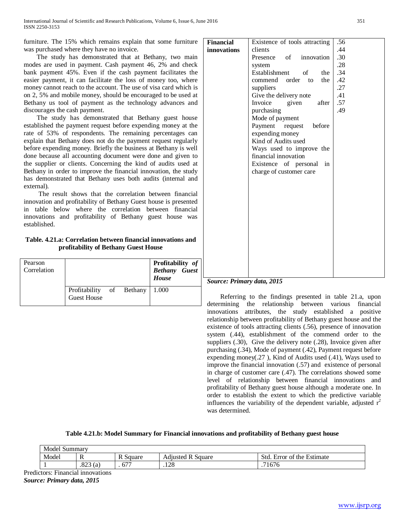furniture. The 15% which remains explain that some furniture was purchased where they have no invoice.

The study has demonstrated that at Bethany, two main modes are used in payment. Cash payment 46, 2% and check bank payment 45%. Even if the cash payment facilitates the easier payment, it can facilitate the loss of money too, where money cannot reach to the account. The use of visa card which is on 2, 5% and mobile money, should be encouraged to be used at Bethany us tool of payment as the technology advances and discourages the cash payment.

The study has demonstrated that Bethany guest house established the payment request before expending money at the rate of 53% of respondents. The remaining percentages can explain that Bethany does not do the payment request regularly before expending money. Briefly the business at Bethany is well done because all accounting document were done and given to the supplier or clients. Concerning the kind of audits used at Bethany in order to improve the financial innovation, the study has demonstrated that Bethany uses both audits (internal and external).

The result shows that the correlation between financial innovation and profitability of Bethany Guest house is presented in table below where the correlation between financial innovations and profitability of Bethany guest house was established.

**Table. 4.21.a: Correlation between financial innovations and profitability of Bethany Guest House**

| Pearson<br>Correlation |                                                |  | Profitability of<br><b>Bethany</b> Guest<br>House |
|------------------------|------------------------------------------------|--|---------------------------------------------------|
|                        | Profitability of Bethany<br><b>Guest House</b> |  | 1.000                                             |

| <b>Financial</b> | Existence of tools attracting      | .56 |
|------------------|------------------------------------|-----|
| innovations      | clients                            | .44 |
|                  | Presence of innovation             | .30 |
|                  | system                             | .28 |
|                  | Establishment<br>$\sigma$ f<br>the | .34 |
|                  |                                    |     |
|                  | commend order to<br>the            | .42 |
|                  | suppliers                          | .27 |
|                  | Give the delivery note             | .41 |
|                  | Invoice<br>after<br>given          | .57 |
|                  | purchasing                         | .49 |
|                  | Mode of payment                    |     |
|                  | Payment request before             |     |
|                  | expending money                    |     |
|                  | Kind of Audits used                |     |
|                  | Ways used to improve the           |     |
|                  | financial innovation               |     |
|                  | Existence of personal<br>in        |     |
|                  | charge of customer care            |     |
|                  |                                    |     |
|                  |                                    |     |
|                  |                                    |     |
|                  |                                    |     |
|                  |                                    |     |
|                  |                                    |     |
|                  |                                    |     |
|                  |                                    |     |
|                  |                                    |     |
|                  |                                    |     |
|                  |                                    |     |
|                  |                                    |     |
|                  |                                    |     |
|                  |                                    |     |
|                  |                                    |     |

## *Source: Primary data, 2015*

Referring to the findings presented in table 21.a, upon determining the relationship between various financial innovations attributes, the study established a positive relationship between profitability of Bethany guest house and the existence of tools attracting clients (.56), presence of innovation system (.44), establishment of the commend order to the suppliers (.30), Give the delivery note (.28), Invoice given after purchasing (.34), Mode of payment (.42), Payment request before expending money(.27 ), Kind of Audits used (.41), Ways used to improve the financial innovation (.57) and existence of personal in charge of customer care (.47). The correlations showed some level of relationship between financial innovations and profitability of Bethany guest house although a moderate one. In order to establish the extent to which the predictive variable influences the variability of the dependent variable, adjusted  $r^2$ was determined.

| Table 4.21.b: Model Summary for Financial innovations and profitability of Bethany guest house |  |  |
|------------------------------------------------------------------------------------------------|--|--|
|                                                                                                |  |  |

| Model<br>Summary |                                  |          |                          |                                               |  |
|------------------|----------------------------------|----------|--------------------------|-----------------------------------------------|--|
| Model            | v                                | R Square | <b>Adjusted R Square</b> | Std.<br><sup>e</sup> the Estimate<br>Error of |  |
|                  | $0^{\prime\prime}$<br>(a<br>د∠ه. | 677      | $\cap$ $\circ$<br>ه∠۱.   | 71676                                         |  |

Predictors: Financial innovations *Source: Primary data, 2015*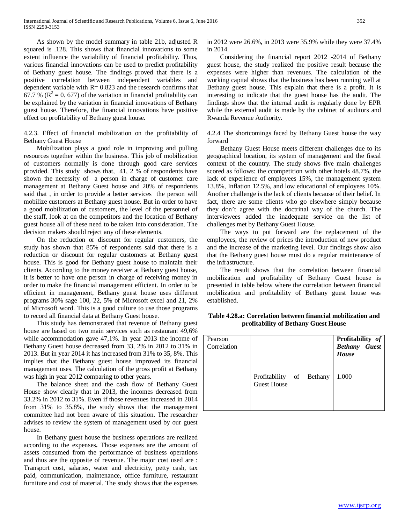As shown by the model summary in table 21b, adjusted R squared is .128. This shows that financial innovations to some extent influence the variability of financial profitability. Thus, various financial innovations can be used to predict profitability of Bethany guest house. The findings proved that there is a positive correlation between independent variables and dependent variable with  $R = 0.823$  and the research confirms that 67.7 % ( $\mathbb{R}^2 = 0$ . 677) of the variation in financial profitability can be explained by the variation in financial innovations of Bethany guest house. Therefore, the financial innovations have positive effect on profitability of Bethany guest house.

4.2.3. Effect of financial mobilization on the profitability of Bethany Guest House

Mobilization plays a good role in improving and pulling resources together within the business. This job of mobilization of customers normally is done through good care services provided. This study shows that, 41, 2 % of respondents have shown the necessity of a person in charge of customer care management at Bethany Guest house and 20% of respondents said that , in order to provide a better services the person will mobilize customers at Bethany guest house. But in order to have a good mobilization of customers, the level of the personnel of the staff, look at on the competitors and the location of Bethany guest house all of these need to be taken into consideration. The decision makers should reject any of these elements.

On the reduction or discount for regular customers, the study has shown that 85% of respondents said that there is a reduction or discount for regular customers at Bethany guest house. This is good for Bethany guest house to maintain their clients. According to the money receiver at Bethany guest house, it is better to have one person in charge of receiving money in order to make the financial management efficient. In order to be efficient in management, Bethany guest house uses different programs 30% sage 100, 22, 5% of Microsoft excel and 21, 2% of Microsoft word. This is a good culture to use those programs to record all financial data at Bethany Guest house.

This study has demonstrated that revenue of Bethany guest house are based on two main services such as restaurant 49,6% while accommodation gave 47,1%. In year 2013 the income of Bethany Guest house decreased from 33, 2% in 2012 to 31% in 2013. But in year 2014 it has increased from 31% to 35, 8%. This implies that the Bethany guest house improved its financial management uses. The calculation of the gross profit at Bethany was high in year 2012 comparing to other years.

The balance sheet and the cash flow of Bethany Guest House show clearly that in 2013, the incomes decreased from 33.2% in 2012 to 31%. Even if those revenues increased in 2014 from 31% to 35.8%, the study shows that the management committee had not been aware of this situation. The researcher advises to review the system of management used by our guest house.

In Bethany guest house the business operations are realized according to the expenses**.** Those expenses are the amount of assets consumed from the performance of business operations and thus are the opposite of revenue. The major cost used are : Transport cost, salaries, water and electricity, petty cash, tax paid, communication, maintenance, office furniture, restaurant furniture and cost of material. The study shows that the expenses in 2012 were 26.6%, in 2013 were 35.9% while they were 37.4% in 2014.

Considering the financial report 2012 -2014 of Bethany guest house, the study realized the positive result because the expenses were higher than revenues. The calculation of the working capital shows that the business has been running well at Bethany guest house. This explain that there is a profit. It is interesting to indicate that the guest house has the audit. The findings show that the internal audit is regularly done by EPR while the external audit is made by the cabinet of auditors and Rwanda Revenue Authority.

4.2.4 The shortcomings faced by Bethany Guest house the way forward

Bethany Guest House meets different challenges due to its geographical location, its system of management and the fiscal context of the country. The study shows five main challenges scored as follows: the ccompetition with other hotels 48.7%, the lack of experience of employees 15%, the management system 13.8%, Inflation 12.5%, and low educational of employees 10%. Another challenge is the lack of clients because of their belief. In fact, there are some clients who go elsewhere simply because they don't agree with the doctrinal way of the church. The interviewees added the inadequate service on the list of challenges met by Bethany Guest House.

The ways to put forward are the replacement of the employees, the review of prices the introduction of new product and the increase of the marketing level. Our findings show also that the Bethany guest house must do a regular maintenance of the infrastructure.

The result shows that the correlation between financial mobilization and profitability of Bethany Guest house is presented in table below where the correlation between financial mobilization and profitability of Bethany guest house was established.

**Table 4.28.a: Correlation between financial mobilization and profitability of Bethany Guest House**

| Pearson<br>Correlation |                                                |  | Profitability of<br><b>Bethany</b> Guest<br>House |
|------------------------|------------------------------------------------|--|---------------------------------------------------|
|                        | Profitability of Bethany<br><b>Guest House</b> |  | 1.000                                             |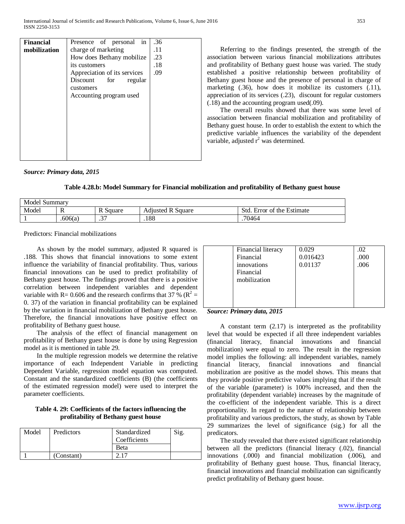| <b>Financial</b> | Presence of personal in      | .36 |
|------------------|------------------------------|-----|
| mobilization     | charge of marketing          | .11 |
|                  | How does Bethany mobilize    | .23 |
|                  | its customers                | .18 |
|                  | Appreciation of its services | .09 |
|                  | Discount<br>for<br>regular   |     |
|                  | customers                    |     |
|                  | Accounting program used      |     |
|                  |                              |     |
|                  |                              |     |
|                  |                              |     |
|                  |                              |     |
|                  |                              |     |
|                  |                              |     |
|                  |                              |     |
|                  |                              |     |
|                  |                              |     |

Referring to the findings presented, the strength of the association between various financial mobilizations attributes and profitability of Bethany guest house was varied. The study established a positive relationship between profitability of Bethany guest house and the presence of personal in charge of marketing (.36), how does it mobilize its customers (.11), appreciation of its services (.23), discount for regular customers (.18) and the accounting program used(.09).

The overall results showed that there was some level of association between financial mobilization and profitability of Bethany guest house. In order to establish the extent to which the predictive variable influences the variability of the dependent variable, adjusted  $r^2$  was determined.

#### *Source: Primary data, 2015*

**Table 4.28.b: Model Summary for Financial mobilization and profitability of Bethany guest house**

| Model Summary |         |                       |                          |                                  |  |
|---------------|---------|-----------------------|--------------------------|----------------------------------|--|
| Model         | -IN     | Square                | Adjusted R S<br>. Square | of the Estimate<br>Std.<br>Error |  |
|               | .606(a) | ~~<br>$\cdot$ $\cdot$ | .188                     | .70464                           |  |

Predictors: Financial mobilizations

As shown by the model summary, adjusted R squared is .188. This shows that financial innovations to some extent influence the variability of financial profitability. Thus, various financial innovations can be used to predict profitability of Bethany guest house. The findings proved that there is a positive correlation between independent variables and dependent variable with R= 0.606 and the research confirms that 37 % ( $\mathbb{R}^2$  = 0. 37) of the variation in financial profitability can be explained by the variation in financial mobilization of Bethany guest house. Therefore, the financial innovations have positive effect on profitability of Bethany guest house.

The analysis of the effect of financial management on profitability of Bethany guest house is done by using Regression model as it is mentioned in table 29.

In the multiple regression models we determine the relative importance of each Independent Variable in predicting Dependent Variable, regression model equation was computed. Constant and the standardized coefficients (B) (the coefficients of the estimated regression model) were used to interpret the parameter coefficients.

## **Table 4. 29: Coefficients of the factors influencing the profitability of Bethany guest house**

| Model | Predictors | Standardized<br>Coefficients | Sig. |
|-------|------------|------------------------------|------|
|       |            | <b>Beta</b>                  |      |
|       | (Constant) |                              |      |

| Financial literacy | 0.029    | .02  |
|--------------------|----------|------|
| Financial          | 0.016423 | .000 |
| innovations        | 0.01137  | .006 |
| Financial          |          |      |
| mobilization       |          |      |
|                    |          |      |
|                    |          |      |
|                    |          |      |

#### *Source: Primary data, 2015*

A constant term (2.17) is interpreted as the profitability level that would be expected if all three independent variables (financial literacy, financial innovations and financial mobilization) were equal to zero. The result in the regression model implies the following: all independent variables, namely financial literacy, financial innovations and financial mobilization are positive as the model shows. This means that they provide positive predictive values implying that if the result of the variable (parameter) is 100% increased, and then the profitability (dependent variable) increases by the magnitude of the co-efficient of the independent variable. This is a direct proportionality. In regard to the nature of relationship between profitability and various predictors, the study, as shown by Table 29 summarizes the level of significance (sig.) for all the predicators.

The study revealed that there existed significant relationship between all the predictors (financial literacy (.02), financial innovations (.000) and financial mobilization (.006), and profitability of Bethany guest house. Thus, financial literacy, financial innovations and financial mobilization can significantly predict profitability of Bethany guest house.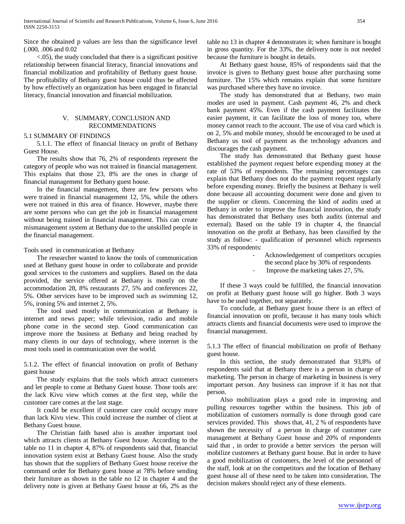Since the obtained p values are less than the significance level (.000, .006 and 0.02

<.05), the study concluded that there is a significant positive relationship between financial literacy, financial innovations and financial mobilization and profitability of Bethany guest house. The profitability of Bethany guest house could thus be affected by how effectively an organization has been engaged in financial literacy, financial innovation and financial mobilization.

#### V. SUMMARY, CONCLUSION AND RECOMMENDATIONS

#### 5.1 SUMMARY OF FINDINGS

5.1.1. The effect of financial literacy on profit of Bethany Guest House.

The results show that 76, 2% of respondents represent the category of people who was not trained in financial management. This explains that those 23, 8% are the ones in charge of financial management for Bethany guest house.

In the financial management, there are few persons who were trained in financial management 12, 5%, while the others were not trained in this area of finance. However, maybe there are some persons who can get the job in financial management without being trained in financial management. This can create mismanagement system at Bethany due to the unskilled people in the financial management.

Tools used in communication at Bethany

The researcher wanted to know the tools of communication used at Bethany guest house in order to collaborate and provide good services to the customers and suppliers. Based on the data provided, the service offered at Bethany is mostly on the accommodation 28, 8% restaurants 27, 5% and conferences 22, 5%. Other services have to be improved such as swimming 12, 5%, ironing 5% and internet 2, 5%.

The tool used mostly in communication at Bethany is internet and news paper; while television, radio and mobile phone come in the second step. Good communication can improve more the business at Bethany and being reached by many clients in our days of technology, where internet is the most tools used in communication over the world.

5.1.2. The effect of financial innovation on profit of Bethany guest house

The study explains that the tools which attract customers and let people to come at Bethany Guest house. Those tools are: the lack Kivu view which comes at the first step, while the customer care comes at the last stage.

It could be excellent if customer care could occupy more than lack Kivu view. This could increase the number of client at Bethany Guest house.

The Christian faith based also is another important tool which attracts clients at Bethany Guest house. According to the table no 11 in chapter 4, 87% of respondents said that, financial innovation system exist at Bethany Guest house. Also the study has shown that the suppliers of Bethany Guest house receive the command order for Bethany guest house at 78% before sending their furniture as shown in the table no 12 in chapter 4 and the delivery note is given at Bethany Guest house at 66, 2% as the table no 13 in chapter 4 demonstrates it; when furniture is bought in gross quantity. For the 33%, the delivery note is not needed because the furniture is bought in details.

At Bethany guest house, 85% of respondents said that the invoice is given to Bethany guest house after purchasing some furniture. The 15% which remains explain that some furniture was purchased where they have no invoice.

The study has demonstrated that at Bethany, two main modes are used in payment. Cash payment 46, 2% and check bank payment 45%. Even if the cash payment facilitates the easier payment, it can facilitate the loss of money too, where money cannot reach to the account. The use of visa card which is on 2, 5% and mobile money, should be encouraged to be used at Bethany us tool of payment as the technology advances and discourages the cash payment.

The study has demonstrated that Bethany guest house established the payment request before expending money at the rate of 53% of respondents. The remaining percentages can explain that Bethany does not do the payment request regularly before expending money. Briefly the business at Bethany is well done because all accounting document were done and given to the supplier or clients. Concerning the kind of audits used at Bethany in order to improve the financial innovation, the study has demonstrated that Bethany uses both audits (internal and external). Based on the table 19 in chapter 4, the financial innovation on the profit at Bethany, has been classified by the study as follow: - qualification of personnel which represents 33% of respondents:

> - Acknowledgement of competitors occupies the second place by 30% of respondents

Improve the marketing takes 27, 5%.

If these 3 ways could be fulfilled, the financial innovation on profit at Bethany guest house will go higher. Both 3 ways have to be used together, not separately.

To conclude, at Bethany guest house there is an effect of financial innovation on profit, because it has many tools which attracts clients and financial documents were used to improve the financial management.

5.1.3 The effect of financial mobilization on profit of Bethany guest house.

In this section, the study demonstrated that 93,8% of respondents said that at Bethany there is a person in charge of marketing. The person in charge of marketing in business is very important person. Any business can improve if it has not that person.

Also mobilization plays a good role in improving and pulling resources together within the business. This job of mobilization of customers normally is done through good care services provided. This shows that, 41, 2 % of respondents have shown the necessity of a person in charge of customer care management at Bethany Guest house and 20% of respondents said that , in order to provide a better services the person will mobilize customers at Bethany guest house. But in order to have a good mobilization of customers, the level of the personnel of the staff, look at on the competitors and the location of Bethany guest house all of these need to be taken into consideration. The decision makers should reject any of these elements.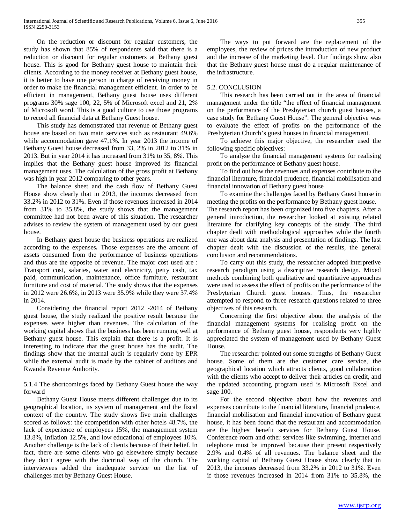On the reduction or discount for regular customers, the study has shown that 85% of respondents said that there is a reduction or discount for regular customers at Bethany guest house. This is good for Bethany guest house to maintain their clients. According to the money receiver at Bethany guest house, it is better to have one person in charge of receiving money in order to make the financial management efficient. In order to be efficient in management, Bethany guest house uses different programs 30% sage 100, 22, 5% of Microsoft excel and 21, 2% of Microsoft word. This is a good culture to use those programs to record all financial data at Bethany Guest house.

This study has demonstrated that revenue of Bethany guest house are based on two main services such as restaurant 49,6% while accommodation gave 47,1%. In year 2013 the income of Bethany Guest house decreased from 33, 2% in 2012 to 31% in 2013. But in year 2014 it has increased from 31% to 35, 8%. This implies that the Bethany guest house improved its financial management uses. The calculation of the gross profit at Bethany was high in year 2012 comparing to other years.

The balance sheet and the cash flow of Bethany Guest House show clearly that in 2013, the incomes decreased from 33.2% in 2012 to 31%. Even if those revenues increased in 2014 from 31% to 35.8%, the study shows that the management committee had not been aware of this situation. The researcher advises to review the system of management used by our guest house.

In Bethany guest house the business operations are realized according to the expenses**.** Those expenses are the amount of assets consumed from the performance of business operations and thus are the opposite of revenue. The major cost used are : Transport cost, salaries, water and electricity, petty cash, tax paid, communication, maintenance, office furniture, restaurant furniture and cost of material. The study shows that the expenses in 2012 were 26.6%, in 2013 were 35.9% while they were 37.4% in 2014.

Considering the financial report 2012 -2014 of Bethany guest house, the study realized the positive result because the expenses were higher than revenues. The calculation of the working capital shows that the business has been running well at Bethany guest house. This explain that there is a profit. It is interesting to indicate that the guest house has the audit. The findings show that the internal audit is regularly done by EPR while the external audit is made by the cabinet of auditors and Rwanda Revenue Authority.

5.1.4 The shortcomings faced by Bethany Guest house the way forward

Bethany Guest House meets different challenges due to its geographical location, its system of management and the fiscal context of the country. The study shows five main challenges scored as follows: the ccompetition with other hotels 48.7%, the lack of experience of employees 15%, the management system 13.8%, Inflation 12.5%, and low educational of employees 10%. Another challenge is the lack of clients because of their belief. In fact, there are some clients who go elsewhere simply because they don't agree with the doctrinal way of the church. The interviewees added the inadequate service on the list of challenges met by Bethany Guest House.

The ways to put forward are the replacement of the employees, the review of prices the introduction of new product and the increase of the marketing level. Our findings show also that the Bethany guest house must do a regular maintenance of the infrastructure.

#### 5.2. CONCLUSION

This research has been carried out in the area of financial management under the title "the effect of financial management on the performance of the Presbyterian church guest houses, a case study for Bethany Guest House". The general objective was to evaluate the effect of profits on the performance of the Presbyterian Church's guest houses in financial management.

To achieve this major objective, the researcher used the following specific objectives:

To analyse the financial management systems for realising profit on the performance of Bethany guest house.

To find out how the revenues and expenses contribute to the financial literature, financial prudence, financial mobilisation and financial innovation of Bethany guest house

To examine the challenges faced by Bethany Guest house in meeting the profits on the performance by Bethany guest house. The research report has been organized into five chapters. After a general introduction, the researcher looked at existing related literature for clarifying key concepts of the study. The third chapter dealt with methodological approaches while the fourth one was about data analysis and presentation of findings. The last chapter dealt with the discussion of the results, the general conclusion and recommendations.

To carry out this study, the researcher adopted interpretive research paradigm using a descriptive research design. Mixed methods combining both qualitative and quantitative approaches were used to assess the effect of profits on the performance of the Presbyterian Church guest houses. Thus, the researcher attempted to respond to three research questions related to three objectives of this research.

Concerning the first objective about the analysis of the financial management systems for realising profit on the performance of Bethany guest house, respondents very highly appreciated the system of management used by Bethany Guest House.

The researcher pointed out some strengths of Bethany Guest house. Some of them are the customer care service, the geographical location which attracts clients, good collaboration with the clients who accept to deliver their articles on credit, and the updated accounting program used is Microsoft Excel and sage 100.

For the second objective about how the revenues and expenses contribute to the financial literature, financial prudence, financial mobilisation and financial innovation of Bethany guest house, it has been found that the restaurant and accommodation are the highest benefit services for Bethany Guest House. Conference room and other services like swimming, internet and telephone must be improved because their present respectively 2.9% and 0.4% of all revenues. The balance sheet and the working capital of Bethany Guest House show clearly that in 2013, the incomes decreased from 33.2% in 2012 to 31%. Even if those revenues increased in 2014 from 31% to 35.8%, the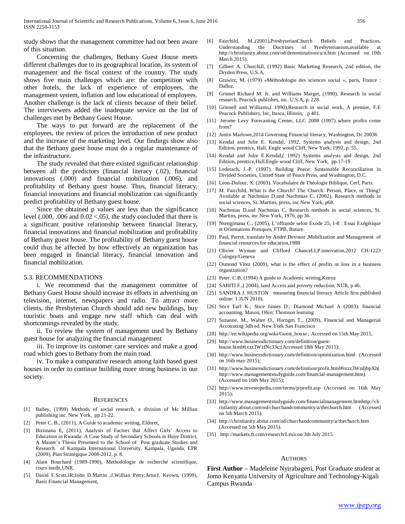study shows that the management committee had not been aware of this situation.

Concerning the challenges, Bethany Guest House meets different challenges due to its geographical location, its system of management and the fiscal context of the country. The study shows five main challenges which are: the competition with other hotels, the lack of experience of employees, the management system, inflation and low educational of employees. Another challenge is the lack of clients because of their belief. The interviewees added the inadequate service on the list of challenges met by Bethany Guest House.

The ways to put forward are the replacement of the employees, the review of prices the introduction of new product and the increase of the marketing level. Our findings show also that the Bethany guest house must do a regular maintenance of the infrastructure.

The study revealed that there existed significant relationship between all the predictors (financial literacy (.02), financial innovations (.000) and financial mobilization (.006), and profitability of Bethany guest house. Thus, financial literacy, financial innovations and financial mobilization can significantly predict profitability of Bethany guest house.

Since the obtained p values are less than the significance level  $(.000, .006$  and  $0.02 < .05)$ , the study concluded that there is a significant positive relationship between financial literacy, financial innovations and financial mobilization and profitability of Bethany guest house. The profitability of Bethany guest house could thus be affected by how effectively an organization has been engaged in financial literacy, financial innovation and financial mobilization.

#### 5.3. RECOMMENDATIONS

i. We recommend that the management committee of Bethany Guest House should increase its efforts in advertising on television, internet, newspapers and radio. To attract more clients, the Presbyterian Church should add new buildings, buy touristic boats and engage new staff which can deal with shortcomings revealed by the study.

ii. To review the system of management used by Bethany guest house for analyzing the financial management

iii. To improve its customer care services and make a good road which goes to Bethany from the main road.

iv. To make a comparative research among faith based guest houses in order to continue building more strong business in our society.

#### **REFERENCES**

- [1] Bailey, (1999) Methods of social research, a division of Mc Millian publishing inc. New York, pp 21-22.
- [2] Peter C. B., (2011), A Guide to academic writing, Eldoret,
- [3] Bizimana E, (2011), Analysis of Factors that Affect Girls' Access to Education in Rwanda: A Case Study of Secondary Schools in Huye District, A Master's Thesis Presented to the School of Post graduate Studies and Research of Kampala International University, Kampala, Uganda, EPR (2009), Plan Stratégique 2008-2012, p. 8.
- [4] Alain Bouchard (1989-1990), Methodologie de recherché scientifique, cours inedit,UNR,
- [5] David F.Scott,JR;John D.Martin ;J.Willian Petty;ArturJ. Keown, (1999), Basis Financial Management,
- [6] Fairchild, M.,(2001),PresbyterianChurch Beliefs and Practices, Understanding the Doctrines of Presbyterianism,available at http://christianity.about.com/od/denominations/a/n.htm (Accessed on 10th March 2015).
- [7] Gilbert A. Churchill, (1992) Basic Marketing Research, 2nd edition, the Dryden Press, U.S.A,
- [8] Grawitz, M. (1979) «Méthodologie des sciences social », paris, France : Dalloz.
- [9] Grinnel Richard M. Jr. and Williams Marget, (1990), Research in social research, Peacock publishes, inc. U.S.A, p. 228.
- [10] Grinnell and Williams,( 1990),Research in social work, A premier, F.E Peacock Publishers, Inc, Itasca, Illinois, , p 401.
- [11] Jerome Levy Forecasting Center, LLC 2008 (1997) where profits come from?
- [12] Justin Marlowe,2014 Governing Financial literacy, Washington, Dc 20036
- [13] Kendal and Julie E. Kendal, 1992, Systems analysis and design, 2nd Edition, prentice, Hall, Engle wood Cliff, New York, 1992, p. 55.
- [14] Kendal and Julie E.Kendal,( 1992) Systems analysis and design, 2nd Edition, prentice,Hall,Engle wood Cliff, New York, pp.17-19
- [15] Lederach, J.-P. (1997). Building Peace: Sustainable Reconciliation in Divided Societies, United State of Peace Press, and Washington, D.C.
- [16] Leon-Dufour, X. (2003). Vocabulaire de Théologie Biblique, Cerf, Paris.
- [17] M. Fairchild, What is the Church? The Church: Person, Place, or Thing? Available at Nachmias D.and Nachmias C, (2002), Research methods in social sciences, St. Martins, press, inc New York, p68.
- [18] Nachmias D.and Nachmias C, Research methods in social sciences, St. Martins, press, inc New York, 1976, pp 36.
- [19] Nsengimana C., (2005), L'offrande selon Exode 25, 1-8 : Essai Exégétique et Orientations Pratiques, FTPB, Butare.
- [20] Paul, Perrot, translate by André Devoust ,Mobilization and Management of financial resources for education,1988
- [21] Olivier Wyman and Clifford ChanceLLP.innovation,2012 CH-1223 Cologny/Geneva
- [22] Osmond Vitez (2009), what is the effect of profits or loss in a business organization?
- [23] Peter. C.B, (1994) A guide to Academic writing, Kenya
- [24] SABITI F.,( 2004), land Access and poverty reduction, NUR, p 46.
- [25] SANDRA J. HUSTON measuring financial literacy Article first published online: 1 JUN 2010).
- [26] Stice Earl K.; Stice James D.; Diamond Michael A (2003): financial accounting, Mason, Ohio; Thomson learning
- [27] Suzanne, M., Walter O., Horngrn T., (2009), Financial and Managerial Accounting 3dh ed. New York San Francisco
- [28] http://en.wikipedia.org/wiki/Guest\_house ; Accessed on 15th May 2015,
- [29] http://www.businessdictionary.com/definition/guesthouse.html#ixzz3WzfNc33c;(Accessed 18th May 2015);
- [30] http://www.businessdictionary.com/definition/optimization.html (Accessed on 16th may 2015);
- [31] http://www.businessdictionary.com/definition/profit.html#ixzz3WzdjbpXh( http://www.managementstudyguide.com/financial-management.htm). (Accessed on 16th May 2015);
- [32] http://www.investopedia.com/terms/p/profit.asp (Accessed on 16th May 2015);
- [33] http://www.managementstudyguide.com/financialmanagement.htmhttp://ch ristianity.about.com/od/churchandcommunity/a/thechurch.htm (Accessed on 5th March 2015).
- [34] http://christianity.about.com/od/churchandcommunity/a/thechurch.htm (Accessed on 5th May 2015).
- [35] http://markets.ft.com/research/Lexicon 3th July 2015

#### AUTHORS

**First Author** – Madeleine Nyirabageni, Post Graduate student at Jomo Kenyatta University of Agriculture and Technology-Kigali Campus Rwanda